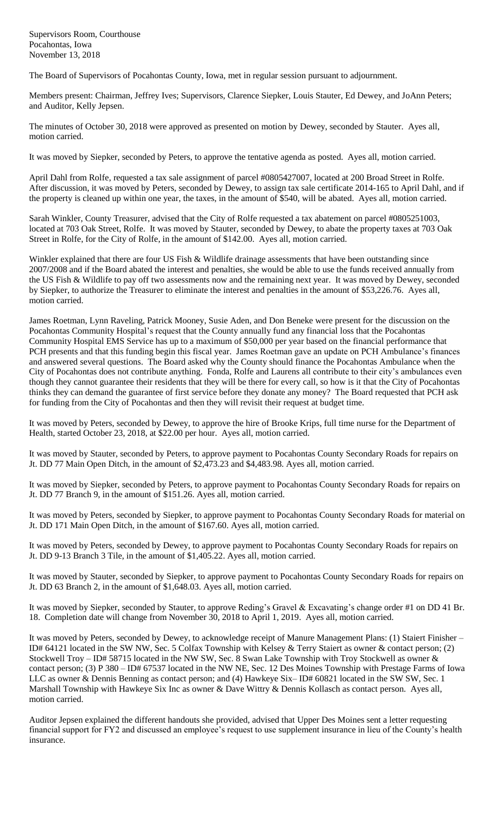Supervisors Room, Courthouse Pocahontas, Iowa November 13, 2018

The Board of Supervisors of Pocahontas County, Iowa, met in regular session pursuant to adjournment.

Members present: Chairman, Jeffrey Ives; Supervisors, Clarence Siepker, Louis Stauter, Ed Dewey, and JoAnn Peters; and Auditor, Kelly Jepsen.

The minutes of October 30, 2018 were approved as presented on motion by Dewey, seconded by Stauter. Ayes all, motion carried.

It was moved by Siepker, seconded by Peters, to approve the tentative agenda as posted. Ayes all, motion carried.

April Dahl from Rolfe, requested a tax sale assignment of parcel #0805427007, located at 200 Broad Street in Rolfe. After discussion, it was moved by Peters, seconded by Dewey, to assign tax sale certificate 2014-165 to April Dahl, and if the property is cleaned up within one year, the taxes, in the amount of \$540, will be abated. Ayes all, motion carried.

Sarah Winkler, County Treasurer, advised that the City of Rolfe requested a tax abatement on parcel #0805251003, located at 703 Oak Street, Rolfe. It was moved by Stauter, seconded by Dewey, to abate the property taxes at 703 Oak Street in Rolfe, for the City of Rolfe, in the amount of \$142.00. Ayes all, motion carried.

Winkler explained that there are four US Fish & Wildlife drainage assessments that have been outstanding since 2007/2008 and if the Board abated the interest and penalties, she would be able to use the funds received annually from the US Fish & Wildlife to pay off two assessments now and the remaining next year. It was moved by Dewey, seconded by Siepker, to authorize the Treasurer to eliminate the interest and penalties in the amount of \$53,226.76. Ayes all, motion carried.

James Roetman, Lynn Raveling, Patrick Mooney, Susie Aden, and Don Beneke were present for the discussion on the Pocahontas Community Hospital's request that the County annually fund any financial loss that the Pocahontas Community Hospital EMS Service has up to a maximum of \$50,000 per year based on the financial performance that PCH presents and that this funding begin this fiscal year. James Roetman gave an update on PCH Ambulance's finances and answered several questions. The Board asked why the County should finance the Pocahontas Ambulance when the City of Pocahontas does not contribute anything. Fonda, Rolfe and Laurens all contribute to their city's ambulances even though they cannot guarantee their residents that they will be there for every call, so how is it that the City of Pocahontas thinks they can demand the guarantee of first service before they donate any money? The Board requested that PCH ask for funding from the City of Pocahontas and then they will revisit their request at budget time.

It was moved by Peters, seconded by Dewey, to approve the hire of Brooke Krips, full time nurse for the Department of Health, started October 23, 2018, at \$22.00 per hour. Ayes all, motion carried.

It was moved by Stauter, seconded by Peters, to approve payment to Pocahontas County Secondary Roads for repairs on Jt. DD 77 Main Open Ditch, in the amount of \$2,473.23 and \$4,483.98. Ayes all, motion carried.

It was moved by Siepker, seconded by Peters, to approve payment to Pocahontas County Secondary Roads for repairs on Jt. DD 77 Branch 9, in the amount of \$151.26. Ayes all, motion carried.

It was moved by Peters, seconded by Siepker, to approve payment to Pocahontas County Secondary Roads for material on Jt. DD 171 Main Open Ditch, in the amount of \$167.60. Ayes all, motion carried.

It was moved by Peters, seconded by Dewey, to approve payment to Pocahontas County Secondary Roads for repairs on Jt. DD 9-13 Branch 3 Tile, in the amount of \$1,405.22. Ayes all, motion carried.

It was moved by Stauter, seconded by Siepker, to approve payment to Pocahontas County Secondary Roads for repairs on Jt. DD 63 Branch 2, in the amount of \$1,648.03. Ayes all, motion carried.

It was moved by Siepker, seconded by Stauter, to approve Reding's Gravel & Excavating's change order #1 on DD 41 Br. 18. Completion date will change from November 30, 2018 to April 1, 2019. Ayes all, motion carried.

It was moved by Peters, seconded by Dewey, to acknowledge receipt of Manure Management Plans: (1) Staiert Finisher – ID# 64121 located in the SW NW, Sec. 5 Colfax Township with Kelsey & Terry Staiert as owner & contact person; (2) Stockwell Troy – ID# 58715 located in the NW SW, Sec. 8 Swan Lake Township with Troy Stockwell as owner & contact person; (3) P 380 – ID# 67537 located in the NW NE, Sec. 12 Des Moines Township with Prestage Farms of Iowa LLC as owner & Dennis Benning as contact person; and (4) Hawkeye Six– ID# 60821 located in the SW SW, Sec. 1 Marshall Township with Hawkeye Six Inc as owner & Dave Wittry & Dennis Kollasch as contact person. Ayes all, motion carried.

Auditor Jepsen explained the different handouts she provided, advised that Upper Des Moines sent a letter requesting financial support for FY2 and discussed an employee's request to use supplement insurance in lieu of the County's health insurance.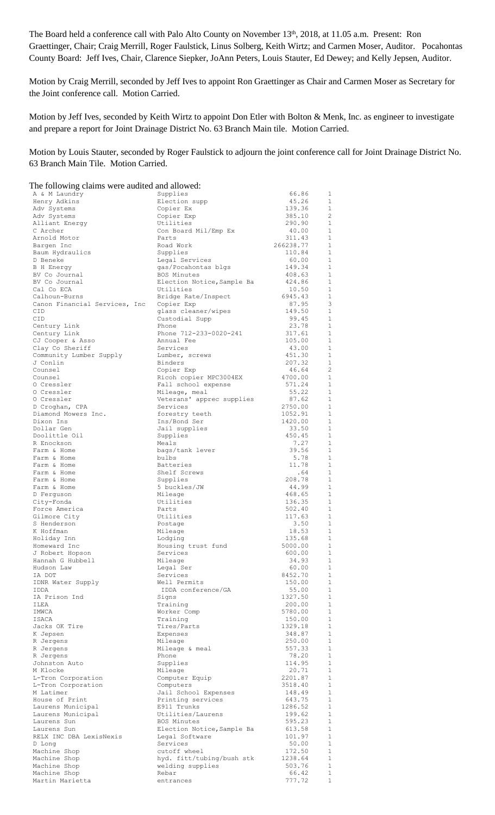The Board held a conference call with Palo Alto County on November 13<sup>th</sup>, 2018, at 11.05 a.m. Present: Ron Graettinger, Chair; Craig Merrill, Roger Faulstick, Linus Solberg, Keith Wirtz; and Carmen Moser, Auditor. Pocahontas County Board: Jeff Ives, Chair, Clarence Siepker, JoAnn Peters, Louis Stauter, Ed Dewey; and Kelly Jepsen, Auditor.

Motion by Craig Merrill, seconded by Jeff Ives to appoint Ron Graettinger as Chair and Carmen Moser as Secretary for the Joint conference call. Motion Carried.

Motion by Jeff Ives, seconded by Keith Wirtz to appoint Don Etler with Bolton & Menk, Inc. as engineer to investigate and prepare a report for Joint Drainage District No. 63 Branch Main tile. Motion Carried.

Motion by Louis Stauter, seconded by Roger Faulstick to adjourn the joint conference call for Joint Drainage District No. 63 Branch Main Tile. Motion Carried.

| The following claims were audited and allowed: |                                           |                   |                              |
|------------------------------------------------|-------------------------------------------|-------------------|------------------------------|
| A & M Laundry                                  | Supplies                                  | 66.86             | 1                            |
| Henry Adkins                                   | Election supp                             | 45.26             | $\mathbf{1}$                 |
| Adv Systems                                    | Copier Ex                                 | 139.36            | $\mathbf{1}$<br>2            |
| Adv Systems<br>Alliant Energy                  | Copier Exp<br>Utilities                   | 385.10<br>290.90  | $\mathbf{1}$                 |
| C Archer                                       | Con Board Mil/Emp Ex                      | 40.00             | 1                            |
| Arnold Motor                                   | Parts                                     | 311.43            | 1                            |
| Bargen Inc                                     | Road Work                                 | 266238.77         | 1                            |
| Baum Hydraulics                                | Supplies                                  | 110.84            | 1                            |
| D Beneke                                       | Legal Services                            | 60.00             | 1                            |
| B H Energy                                     | gas/Pocahontas blgs                       | 149.34            | 1                            |
| BV Co Journal                                  | BOS Minutes                               | 408.63            | $\mathbf{1}$                 |
| BV Co Journal                                  | Election Notice, Sample Ba                | 424.86            | $\mathbf{1}$                 |
| Cal Co ECA                                     | Utilities                                 | 10.50             | $\mathbf{1}$                 |
| Calhoun-Burns<br>Canon Financial Services, Inc | Bridge Rate/Inspect<br>Copier Exp         | 6945.43<br>87.95  | 1<br>3                       |
| CID                                            | glass cleaner/wipes                       | 149.50            | $\mathbf{1}$                 |
| CID                                            | Custodial Supp                            | 99.45             | $\mathbf{1}$                 |
| Century Link                                   | Phone                                     | 23.78             | $\mathbf{1}$                 |
| Century Link                                   | Phone 712-233-0020-241                    | 317.61            | $\mathbf{1}$                 |
| CJ Cooper & Asso                               | Annual Fee                                | 105.00            | $\mathbf{1}$                 |
| Clay Co Sheriff                                | Services                                  | 43.00             | $\mathbf{1}$                 |
| Community Lumber Supply                        | Lumber, screws                            | 451.30            | 1                            |
| J Conlin                                       | Binders                                   | 207.32            | $\mathbf{1}$                 |
| Counsel                                        | Copier Exp                                | 46.64             | 2                            |
| Counsel<br>0 Cressler                          | Ricoh copier MPC3004EX                    | 4700.00           | $\mathbf{1}$<br>1            |
| 0 Cressler                                     | Fall school expense<br>Mileage, meal      | 571.24<br>55.22   | 1                            |
| 0 Cressler                                     | Veterans' apprec supplies                 | 87.62             | 1                            |
| D Croghan, CPA                                 | Services                                  | 2750.00           | 1                            |
| Diamond Mowers Inc.                            | forestry teeth                            | 1052.91           | 1                            |
| Dixon Ins                                      | Ins/Bond Ser                              | 1420.00           | 1                            |
| Dollar Gen                                     | Jail supplies                             | 33.50             | 1                            |
| Doolittle Oil                                  | Supplies                                  | 450.45            | $\mathbf{1}$                 |
| R Enockson                                     | Meals                                     | 7.27              | $\mathbf{1}$                 |
| Farm & Home                                    | bags/tank lever                           | 39.56             | $\mathbf{1}$                 |
| Farm & Home                                    | bulbs                                     | 5.78              | $\mathbf{1}$<br>$\mathbf{1}$ |
| Farm & Home<br>Farm & Home                     | <b>Batteries</b><br>Shelf Screws          | 11.78<br>.64      | $\mathbf{1}$                 |
| Farm & Home                                    | Supplies                                  | 208.78            | $\mathbf{1}$                 |
| Farm & Home                                    | 5 buckles/JW                              | 44.99             | $\mathbf{1}$                 |
| D Ferguson                                     | Mileage                                   | 468.65            | $\mathbf{1}$                 |
| City-Fonda                                     | Utilities                                 | 136.35            | $\mathbf{1}$                 |
| Force America                                  | Parts                                     | 502.40            | 1                            |
| Gilmore City                                   | Utilities                                 | 117.63            | $\mathbf{1}$                 |
| S Henderson                                    | Postage                                   | 3.50              | $\mathbf{1}$                 |
| K Hoffman                                      | Mileage                                   | 18.53             | $\mathbf{1}$                 |
| Holiday Inn<br>Homeward Inc                    | Lodging                                   | 135.68<br>5000.00 | $\mathbf{1}$<br>1            |
| J Robert Hopson                                | Housing trust fund<br>Services            | 600.00            | $\mathbf{1}$                 |
| Hannah G Hubbell                               | Mileage                                   | 34.93             | $\mathbf{1}$                 |
| Hudson Law                                     | Legal Ser                                 | 60.00             | $\mathbf{1}$                 |
| IA DOT                                         | Services                                  | 8452.70           | $\mathbf{1}$                 |
| IDNR Water Supply                              | Well Permits                              | 150.00            | $\mathbf{1}$                 |
| IDDA                                           | IDDA conference/GA                        | 55.00             | $\mathbf{1}$                 |
| IA Prison Ind                                  | Signs                                     | 1327.50           | $\mathbf{1}$                 |
| ILEA                                           | Training<br>Worker Comp                   | 200.00<br>5780.00 | $\mathbf{1}$<br>$\mathbf{1}$ |
| IMWCA<br>ISACA                                 | Training                                  | 150.00            | $\mathbf{1}$                 |
| Jacks OK Tire                                  | Tires/Parts                               | 1329.18           | $\mathbf{1}$                 |
| K Jepsen                                       | Expenses                                  | 348.87            | $\mathbf{1}$                 |
| R Jergens                                      | Mileage                                   | 250.00            | $\mathbf{1}$                 |
| R Jergens                                      | Mileage & meal                            | 557.33            | $\mathbf{1}$                 |
| R Jergens                                      | Phone                                     | 78.20             | $\mathbf{1}$                 |
| Johnston Auto                                  | Supplies                                  | 114.95            | $\mathbf{1}$                 |
| M Klocke                                       | Mileage                                   | 20.71             | $\mathbf{1}$                 |
| L-Tron Corporation                             | Computer Equip                            | 2201.87           | $\mathbf{1}$                 |
| L-Tron Corporation<br>M Latimer                | Computers                                 | 3518.40           | $\mathbf{1}$<br>$\mathbf{1}$ |
| House of Print                                 | Jail School Expenses<br>Printing services | 148.49<br>643.75  | $\mathbf{1}$                 |
| Laurens Municipal                              | E911 Trunks                               | 1286.52           | $\mathbf{1}$                 |
| Laurens Municipal                              | Utilities/Laurens                         | 199.62            | $\mathbf{1}$                 |
| Laurens Sun                                    | BOS Minutes                               | 595.23            | $\mathbf{1}$                 |
| Laurens Sun                                    | Election Notice, Sample Ba                | 613.58            | $\mathbf{1}$                 |
| RELX INC DBA LexisNexis                        | Legal Software                            | 101.97            | $\mathbf{1}$                 |
| D Long                                         | Services                                  | 50.00             | $\mathbf{1}$                 |
| Machine Shop                                   | cutoff wheel                              | 172.50            | $\mathbf{1}$                 |
| Machine Shop                                   | hyd. fitt/tubing/bush stk                 | 1238.64           | $\mathbf{1}$                 |
| Machine Shop<br>Machine Shop                   | welding supplies<br>Rebar                 | 503.76<br>66.42   | $\mathbf{1}$<br>$\mathbf{1}$ |
| Martin Marietta                                | entrances                                 | 777.72            | $\mathbf{1}$                 |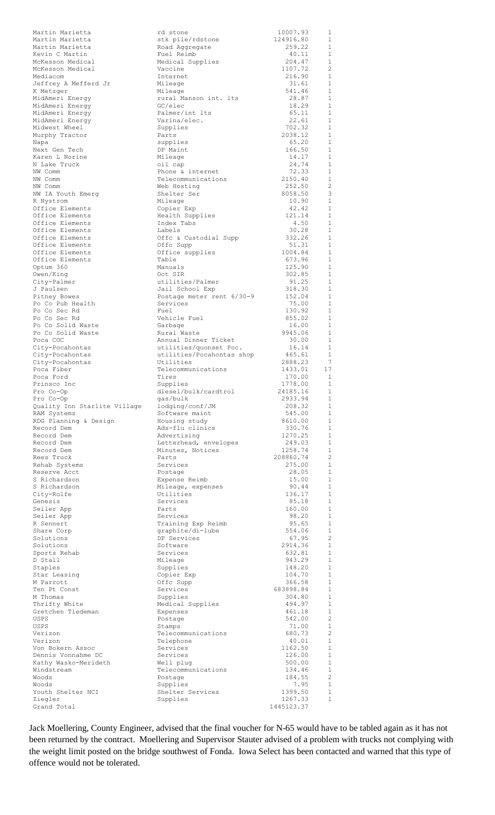| Martin Marietta                        | rd stone                              | 10007.93         | 1                            |
|----------------------------------------|---------------------------------------|------------------|------------------------------|
| Martin Marietta                        | stk pile/rdstone                      | 124916.80        | 1                            |
| Martin Marietta                        | Road Aggregate                        | 259.22           | 1                            |
| Kevin C Martin                         | Fuel Reimb                            | 40.11            | 1                            |
| McKesson Medical                       | Medical Supplies                      | 204.47           | 1                            |
| McKesson Medical                       | Vaccine                               | 1107.72          | 2                            |
| Mediacom                               | Internet                              | 216.90           | $\mathbf{1}$                 |
| Jeffrey A Mefferd Jr                   | Mileage                               | 31.61            | $\mathbf{1}$                 |
| K Metzger                              | Mileage                               | 541.46           | 1<br>$\mathbf{1}$            |
| MidAmeri Energy                        | rural Manson int. Its                 | 28.87            |                              |
| MidAmeri Energy                        | GC/elec<br>Palmer/int lts             | 18.29<br>65.11   | 1<br>1                       |
| MidAmeri Energy<br>MidAmeri Energy     | Varina/elec.                          | 22.61            | 1                            |
| Midwest Wheel                          | Supplies                              | 702.32           | 1                            |
| Murphy Tractor                         | Parts                                 | 2038.12          | 1                            |
| Napa                                   | supplies                              | 65.20            | $\mathbf{1}$                 |
| Next Gen Tech                          | DP Maint                              | 166.50           | 1                            |
| Karen L Norine                         | Mileage                               | 14.17            | 1                            |
| N Lake Truck                           | oil cap                               | 24.74            | 1                            |
| NW Comm                                | Phone & internet                      | 72.33            | 1                            |
| NW Comm                                | Telecommunications                    | 2150.40          | $\mathbf{1}$                 |
| NW Comm                                | Web Hosting                           | 252.50           | 2                            |
| NW IA Youth Emerg                      | Shelter Ser                           | 8058.50          | 3                            |
| R Nystrom                              | Mileage                               | 10.90            | $\mathbf{1}$                 |
| Office Elements                        | Copier Exp                            | 42.42            | 1                            |
| Office Elements                        | Health Supplies                       | 121.14           | 1                            |
| Office Elements                        | Index Tabs                            | 4.50             | 1                            |
| Office Elements                        | Labels                                | 30.28            | 1                            |
| Office Elements                        | Offc & Custodial Supp                 | 332.26           | $\mathbf{1}$                 |
| Office Elements                        | Offc Supp                             | 51.31            | $\mathbf{1}$                 |
| Office Elements                        | Office supplies                       | 1004.84          | 1                            |
| Office Elements                        | Table                                 | 673.96           | 1                            |
| Optum 360                              | Manuals                               | 125.90           | 1                            |
| Owen/King                              | Oct SIR                               | 302.85           | $\mathbf{1}$                 |
| City-Palmer                            | utilities/Palmer                      | 91.25            | 1<br>$\mathbf{1}$            |
| J Paulsen                              | Jail School Exp                       | 318.30           | 1                            |
| Pitney Bowes<br>Po Co Pub Health       | Postage meter rent 6/30-9<br>Services | 152.04<br>75.00  | 1                            |
| Po Co Sec Rd                           | Fuel                                  | 130.92           | 1                            |
| Po Co Sec Rd                           | Vehicle Fuel                          | 855.02           | 1                            |
| Po Co Solid Waste                      | Garbage                               | 16.00            | 1                            |
| Po Co Solid Waste                      | Rural Waste                           | 9945.06          | 1                            |
| Poca COC                               | Annual Dinner Ticket                  | 30.00            | 1                            |
| City-Pocahontas                        | utilities/quonset Poc.                | 16.14            | 1                            |
| City-Pocahontas                        | utilities/Pocahontas shop             | 465.61           | 1                            |
| City-Pocahontas                        | Utilities                             | 2888.23          | -7                           |
|                                        |                                       |                  |                              |
| Poca Fiber                             | Telecommunications                    | 1433.01          | 17                           |
| Poca Ford                              | Tires                                 | 170.00           | 1                            |
| Prinsco Inc                            | Supplies                              | 1778.00          | 1                            |
| Pro Co-Op                              | diesel/bulk/cardtrol                  | 24185.16         | $\mathbf{1}$                 |
| Pro Co-Op                              | gas/bulk                              | 2933.94          | 1                            |
| Quality Inn Starlite Village           | lodging/conf/JM                       | 208.32           | $\mathbf{1}$                 |
| RAM Systems                            | Software maint                        | 545.00           | $\mathbf{1}$                 |
| RDG Planning & Design                  | Housing study                         | 8610.00          | $\mathbf{1}$                 |
| Record Dem                             | Ads-flu clinics                       | 330.76           | $\mathbf{1}$                 |
| Record Dem                             | Advertising                           | 1270.25          | $\mathbf{1}$                 |
| Record Dem                             | Letterhead, envelopes                 | 249.03           | $\mathbf{1}$                 |
| Record Dem                             | Minutes, Notices                      | 1258.74          | $\mathbf{1}$                 |
| Rees Truck                             | Parts                                 | 208860.74        | 2                            |
| Rehab Systems                          | Services                              | 275.00           | 1                            |
| Reserve Acct                           | Postage                               | 28.05            | $\mathbf{1}$                 |
| S Richardson                           | Expense Reimb                         | 15.00            | $\mathbf{1}$                 |
| S Richardson                           | Mileage, expenses                     | 90.44            | $\mathbf{1}$                 |
| City-Rolfe                             | Utilities                             | 136.17           | 1                            |
| Genesis                                | Services                              | 85.18            | $\mathbf{1}$                 |
| Seiler App                             | Parts<br>Services                     | 160.00<br>98.20  | $\mathbf{1}$<br>$\mathbf{1}$ |
| Seiler App<br>R Sennert                | Training Exp Reimb                    | 95.65            | $\mathbf{1}$                 |
|                                        |                                       | 554.06           | $\mathbf{1}$                 |
| Share Corp<br>Solutions                | graphite/di-lube<br>DP Services       | 67.95            | 2                            |
| Solutions                              | Software                              | 2914.36          | $\mathbf{1}$                 |
| Sports Rehab                           | Services                              | 632.81           | $\mathbf{1}$                 |
| D Stall                                | Mileage                               | 943.29           | 1                            |
| Staples                                | Supplies                              | 148.20           | 1                            |
| Star Leasing                           | Copier Exp                            | 104.70           | $\mathbf{1}$                 |
| M Parrott                              | Offc Supp                             | 366.58           | $\mathbf{1}$                 |
| Ten Pt Const                           | Services                              | 683898.84        | 1                            |
| M Thomas                               | Supplies                              | 304.80           | $\mathbf{1}$                 |
| Thrifty White                          | Medical Supplies                      | 494.97           | 1                            |
| Gretchen Tiedeman                      | Expenses                              | 461.18           | 1                            |
| USPS                                   | Postage                               | 542.00           | 2                            |
| USPS                                   | Stamps                                | 71.00            | $\mathbf{1}$                 |
| Verizon                                | Telecommunications                    | 680.73           | 2                            |
| Verizon                                | Telephone                             | 40.01            | $\mathbf{1}$                 |
| Von Bokern Assoc<br>Dennis Vonnahme DC | Services                              | 1162.50          | $\mathbf{1}$<br>$\mathbf{1}$ |
|                                        | Services                              | 126.00           | $\mathbf{1}$                 |
| Kathy Wasko-Merideth<br>Windstream     | Well plug<br>Telecommunications       | 500.00<br>134.46 | 1                            |
| Woods                                  |                                       | 184.55           | 2                            |
| Woods                                  | Postage<br>Supplies                   | 7.95             | $\mathbf{1}$                 |
| Youth Shelter NCI                      | Shelter Services                      | 1399.50          | 1                            |
| Ziegler                                | Supplies                              | 1267.33          | $\mathbf{1}$                 |
| Grand Total                            |                                       | 1445123.37       |                              |

Jack Moellering, County Engineer, advised that the final voucher for N-65 would have to be tabled again as it has not been returned by the contract. Moellering and Supervisor Stauter advised of a problem with trucks not complying with the weight limit posted on the bridge southwest of Fonda. Iowa Select has been contacted and warned that this type of offence would not be tolerated.